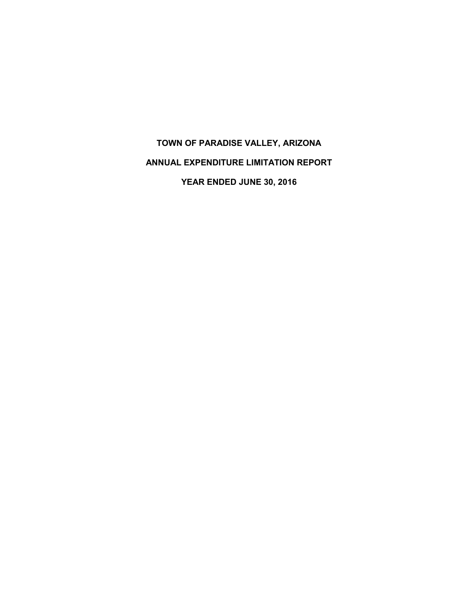# **TOWN OF PARADISE VALLEY, ARIZONA ANNUAL EXPENDITURE LIMITATION REPORT YEAR ENDED JUNE 30, 2016**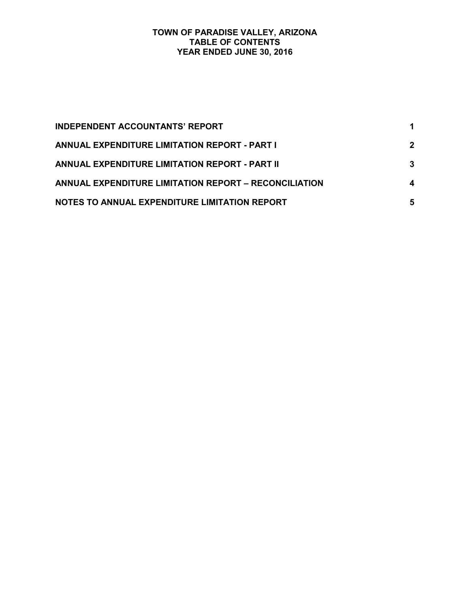#### **TOWN OF PARADISE VALLEY, ARIZONA TABLE OF CONTENTS YEAR ENDED JUNE 30, 2016**

| <b>INDEPENDENT ACCOUNTANTS' REPORT</b>                |             |
|-------------------------------------------------------|-------------|
| <b>ANNUAL EXPENDITURE LIMITATION REPORT - PART I</b>  | $\mathbf 2$ |
| <b>ANNUAL EXPENDITURE LIMITATION REPORT - PART II</b> | 3           |
| ANNUAL EXPENDITURE LIMITATION REPORT - RECONCILIATION |             |
| NOTES TO ANNUAL EXPENDITURE LIMITATION REPORT         | 5           |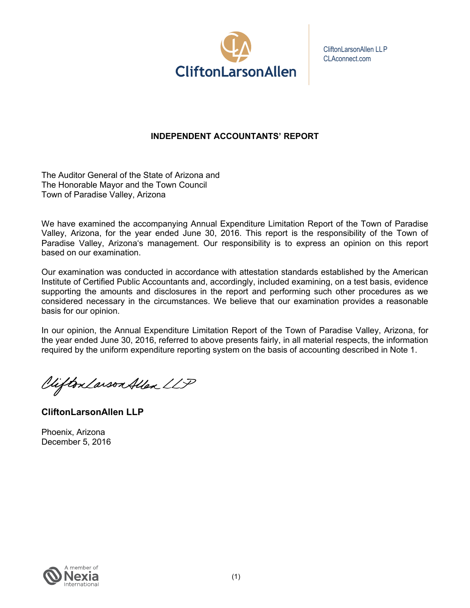

CliftonLarsonAllen LLP CLAconnect.com

# **INDEPENDENT ACCOUNTANTS' REPORT**

The Auditor General of the State of Arizona and The Honorable Mayor and the Town Council Town of Paradise Valley, Arizona

We have examined the accompanying Annual Expenditure Limitation Report of the Town of Paradise Valley, Arizona, for the year ended June 30, 2016. This report is the responsibility of the Town of Paradise Valley, Arizona's management. Our responsibility is to express an opinion on this report based on our examination.

Our examination was conducted in accordance with attestation standards established by the American Institute of Certified Public Accountants and, accordingly, included examining, on a test basis, evidence supporting the amounts and disclosures in the report and performing such other procedures as we considered necessary in the circumstances. We believe that our examination provides a reasonable basis for our opinion.

In our opinion, the Annual Expenditure Limitation Report of the Town of Paradise Valley, Arizona, for the year ended June 30, 2016, referred to above presents fairly, in all material respects, the information required by the uniform expenditure reporting system on the basis of accounting described in Note 1.

Vifton Larson Allen LLP

**CliftonLarsonAllen LLP**

Phoenix, Arizona December 5, 2016

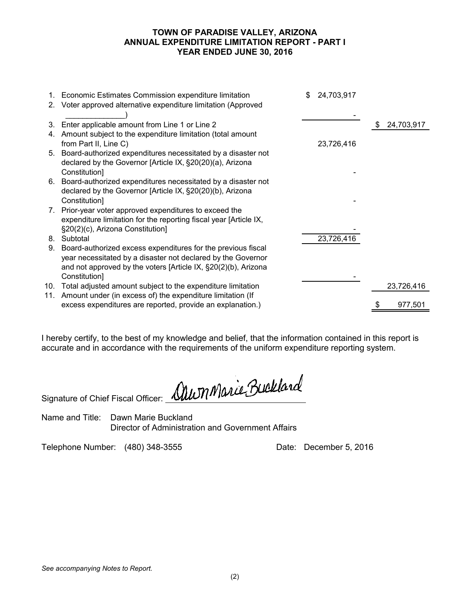#### **TOWN OF PARADISE VALLEY, ARIZONA ANNUAL EXPENDITURE LIMITATION REPORT - PART I YEAR ENDED JUNE 30, 2016**

|    | 1. Economic Estimates Commission expenditure limitation           | \$<br>24,703,917 |                  |
|----|-------------------------------------------------------------------|------------------|------------------|
|    | 2. Voter approved alternative expenditure limitation (Approved    |                  |                  |
| 3. | Enter applicable amount from Line 1 or Line 2                     |                  | \$<br>24,703,917 |
| 4. | Amount subject to the expenditure limitation (total amount        |                  |                  |
|    | from Part II, Line C)                                             | 23,726,416       |                  |
|    | 5. Board-authorized expenditures necessitated by a disaster not   |                  |                  |
|    | declared by the Governor [Article IX, §20(20)(a), Arizona         |                  |                  |
|    | Constitution]                                                     |                  |                  |
|    | 6. Board-authorized expenditures necessitated by a disaster not   |                  |                  |
|    | declared by the Governor [Article IX, §20(20)(b), Arizona         |                  |                  |
|    | Constitution]                                                     |                  |                  |
|    | 7. Prior-year voter approved expenditures to exceed the           |                  |                  |
|    | expenditure limitation for the reporting fiscal year [Article IX, |                  |                  |
|    | §20(2)(c), Arizona Constitution]                                  |                  |                  |
|    | 8. Subtotal                                                       | 23,726,416       |                  |
| 9. | Board-authorized excess expenditures for the previous fiscal      |                  |                  |
|    | year necessitated by a disaster not declared by the Governor      |                  |                  |
|    | and not approved by the voters [Article IX, §20(2)(b), Arizona    |                  |                  |
|    | Constitution]                                                     |                  |                  |
|    | 10. Total adjusted amount subject to the expenditure limitation   |                  | 23,726,416       |
|    | 11. Amount under (in excess of) the expenditure limitation (If    |                  |                  |
|    | excess expenditures are reported, provide an explanation.)        |                  | 977,501          |
|    |                                                                   |                  |                  |

I hereby certify, to the best of my knowledge and belief, that the information contained in this report is accurate and in accordance with the requirements of the uniform expenditure reporting system.

Signature of Chief Fiscal Officer: <u>Mu</u>m Marie Buckland

Name and Title: Dawn Marie Buckland Director of Administration and Government Affairs

Telephone Number: (480) 348-3555 Date: December 5, 2016

*See accompanying Notes to Report.*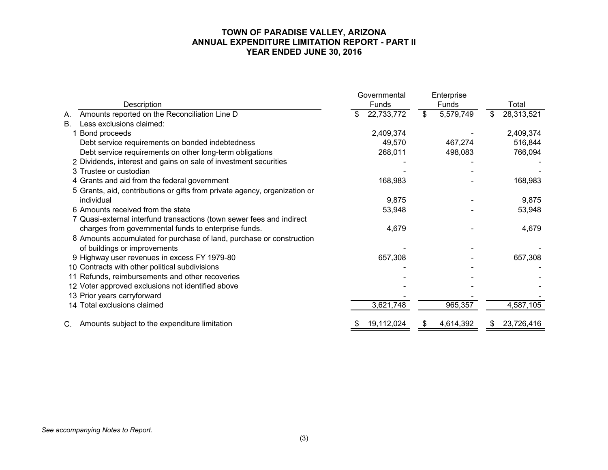#### **TOWN OF PARADISE VALLEY, ARIZONA ANNUAL EXPENDITURE LIMITATION REPORT - PART II YEAR ENDED JUNE 30, 2016**

|                                                                            | Governmental     | Enterprise      |                  |
|----------------------------------------------------------------------------|------------------|-----------------|------------------|
| Description                                                                | Funds            | <b>Funds</b>    | Total            |
| Amounts reported on the Reconciliation Line D<br>Α.                        | 22,733,772<br>\$ | 5,579,749<br>\$ | 28,313,521<br>S  |
| Less exclusions claimed:<br><b>B.</b>                                      |                  |                 |                  |
| Bond proceeds                                                              | 2,409,374        |                 | 2,409,374        |
| Debt service requirements on bonded indebtedness                           | 49,570           | 467,274         | 516,844          |
| Debt service requirements on other long-term obligations                   | 268,011          | 498,083         | 766,094          |
| 2 Dividends, interest and gains on sale of investment securities           |                  |                 |                  |
| 3 Trustee or custodian                                                     |                  |                 |                  |
| 4 Grants and aid from the federal government                               | 168,983          |                 | 168,983          |
| 5 Grants, aid, contributions or gifts from private agency, organization or |                  |                 |                  |
| individual                                                                 | 9,875            |                 | 9,875            |
| 6 Amounts received from the state                                          | 53,948           |                 | 53,948           |
| 7 Quasi-external interfund transactions (town sewer fees and indirect      |                  |                 |                  |
| charges from governmental funds to enterprise funds.                       | 4,679            |                 | 4,679            |
| 8 Amounts accumulated for purchase of land, purchase or construction       |                  |                 |                  |
| of buildings or improvements                                               |                  |                 |                  |
| 9 Highway user revenues in excess FY 1979-80                               | 657,308          |                 | 657,308          |
| 10 Contracts with other political subdivisions                             |                  |                 |                  |
| 11 Refunds, reimbursements and other recoveries                            |                  |                 |                  |
| 12 Voter approved exclusions not identified above                          |                  |                 |                  |
| 13 Prior years carryforward                                                |                  |                 |                  |
| 14 Total exclusions claimed                                                | 3,621,748        | 965,357         | 4,587,105        |
| Amounts subject to the expenditure limitation<br>C.                        | 19,112,024       | 4,614,392<br>\$ | 23,726,416<br>£. |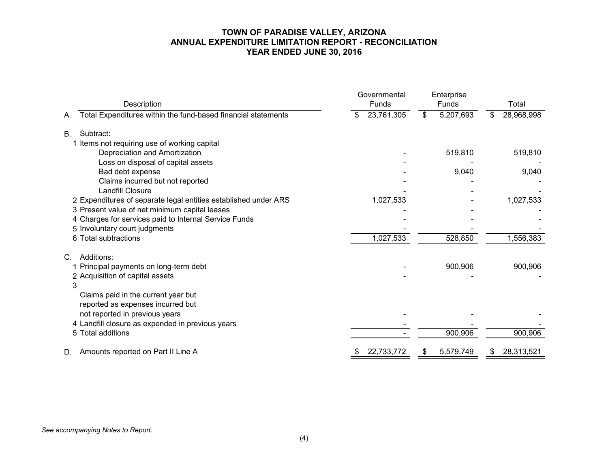#### **TOWN OF PARADISE VALLEY, ARIZONA ANNUAL EXPENDITURE LIMITATION REPORT - RECONCILIATION YEAR ENDED JUNE 30, 2016**

| Description                                                         | Governmental<br>Funds | Enterprise<br>Funds                  | Total            |  |
|---------------------------------------------------------------------|-----------------------|--------------------------------------|------------------|--|
| Total Expenditures within the fund-based financial statements<br>А. | 23,761,305            | 5,207,693<br>$\overline{\mathbf{3}}$ | 28,968,998<br>\$ |  |
| Subtract:<br><b>B.</b>                                              |                       |                                      |                  |  |
| 1 Items not requiring use of working capital                        |                       |                                      |                  |  |
| Depreciation and Amortization                                       |                       | 519,810                              | 519,810          |  |
| Loss on disposal of capital assets                                  |                       |                                      |                  |  |
| Bad debt expense                                                    |                       | 9,040                                | 9,040            |  |
| Claims incurred but not reported                                    |                       |                                      |                  |  |
| <b>Landfill Closure</b>                                             |                       |                                      |                  |  |
| 2 Expenditures of separate legal entities established under ARS     | 1,027,533             |                                      | 1,027,533        |  |
| 3 Present value of net minimum capital leases                       |                       |                                      |                  |  |
| 4 Charges for services paid to Internal Service Funds               |                       |                                      |                  |  |
| 5 Involuntary court judgments                                       |                       |                                      |                  |  |
| 6 Total subtractions                                                | 1,027,533             | 528,850                              | 1,556,383        |  |
| Additions:<br>C.                                                    |                       |                                      |                  |  |
| 1 Principal payments on long-term debt                              |                       | 900,906                              | 900,906          |  |
| 2 Acquisition of capital assets                                     |                       |                                      |                  |  |
| 3                                                                   |                       |                                      |                  |  |
| Claims paid in the current year but                                 |                       |                                      |                  |  |
| reported as expenses incurred but                                   |                       |                                      |                  |  |
| not reported in previous years                                      |                       |                                      |                  |  |
| 4 Landfill closure as expended in previous years                    |                       |                                      |                  |  |
| 5 Total additions                                                   |                       | 900,906                              | 900,906          |  |
| Amounts reported on Part II Line A<br>D.                            | 22,733,772<br>\$      | 5,579,749<br>\$                      | 28,313,521<br>\$ |  |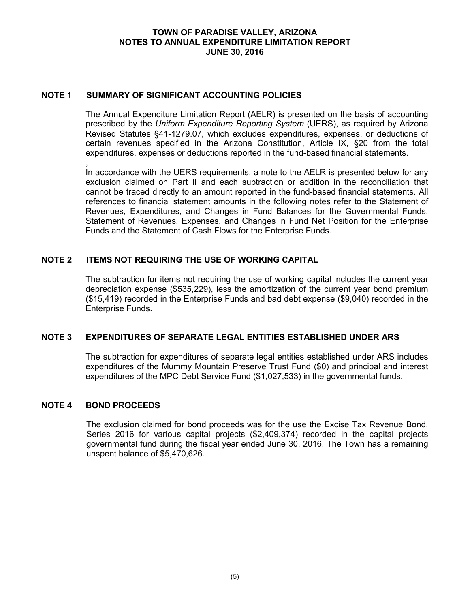#### **NOTE 1 SUMMARY OF SIGNIFICANT ACCOUNTING POLICIES**

The Annual Expenditure Limitation Report (AELR) is presented on the basis of accounting prescribed by the *Uniform Expenditure Reporting System* (UERS), as required by Arizona Revised Statutes §41-1279.07, which excludes expenditures, expenses, or deductions of certain revenues specified in the Arizona Constitution, Article IX, §20 from the total expenditures, expenses or deductions reported in the fund-based financial statements.

In accordance with the UERS requirements, a note to the AELR is presented below for any exclusion claimed on Part II and each subtraction or addition in the reconciliation that cannot be traced directly to an amount reported in the fund-based financial statements. All references to financial statement amounts in the following notes refer to the Statement of Revenues, Expenditures, and Changes in Fund Balances for the Governmental Funds, Statement of Revenues, Expenses, and Changes in Fund Net Position for the Enterprise Funds and the Statement of Cash Flows for the Enterprise Funds.

## **NOTE 2 ITEMS NOT REQUIRING THE USE OF WORKING CAPITAL**

The subtraction for items not requiring the use of working capital includes the current year depreciation expense (\$535,229), less the amortization of the current year bond premium (\$15,419) recorded in the Enterprise Funds and bad debt expense (\$9,040) recorded in the Enterprise Funds.

#### **NOTE 3 EXPENDITURES OF SEPARATE LEGAL ENTITIES ESTABLISHED UNDER ARS**

The subtraction for expenditures of separate legal entities established under ARS includes expenditures of the Mummy Mountain Preserve Trust Fund (\$0) and principal and interest expenditures of the MPC Debt Service Fund (\$1,027,533) in the governmental funds.

#### **NOTE 4 BOND PROCEEDS**

,

The exclusion claimed for bond proceeds was for the use the Excise Tax Revenue Bond, Series 2016 for various capital projects (\$2,409,374) recorded in the capital projects governmental fund during the fiscal year ended June 30, 2016. The Town has a remaining unspent balance of \$5,470,626.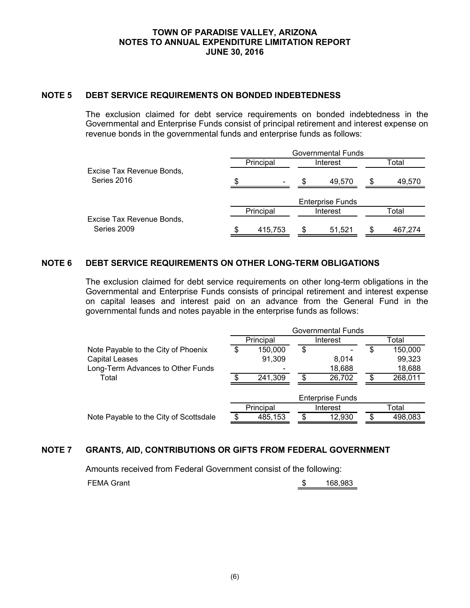## **NOTE 5 DEBT SERVICE REQUIREMENTS ON BONDED INDEBTEDNESS**

The exclusion claimed for debt service requirements on bonded indebtedness in the Governmental and Enterprise Funds consist of principal retirement and interest expense on revenue bonds in the governmental funds and enterprise funds as follows:

|                                          | Governmental Funds |                          |   |                         |   |         |  |
|------------------------------------------|--------------------|--------------------------|---|-------------------------|---|---------|--|
|                                          |                    | Principal<br>Interest    |   |                         |   | Total   |  |
| Excise Tax Revenue Bonds,<br>Series 2016 | \$.                | $\overline{\phantom{a}}$ | S | 49.570                  | S | 49,570  |  |
|                                          |                    |                          |   | <b>Enterprise Funds</b> |   |         |  |
|                                          |                    | Principal                |   | Interest                |   | Total   |  |
| Excise Tax Revenue Bonds,<br>Series 2009 | S                  | 415,753                  |   | 51,521                  |   | 467,274 |  |

## **NOTE 6 DEBT SERVICE REQUIREMENTS ON OTHER LONG-TERM OBLIGATIONS**

The exclusion claimed for debt service requirements on other long-term obligations in the Governmental and Enterprise Funds consists of principal retirement and interest expense on capital leases and interest paid on an advance from the General Fund in the governmental funds and notes payable in the enterprise funds as follows:

|                                        | Governmental Funds |           |     |                         |       |         |
|----------------------------------------|--------------------|-----------|-----|-------------------------|-------|---------|
|                                        | Principal          |           |     | Interest                | Total |         |
| Note Payable to the City of Phoenix    |                    | 150,000   | \$  |                         | S     | 150,000 |
| <b>Capital Leases</b>                  |                    | 91,309    |     | 8,014                   |       | 99,323  |
| Long-Term Advances to Other Funds      |                    |           |     | 18,688                  |       | 18,688  |
| Total                                  |                    | 241,309   | \$  | 26,702                  | \$    | 268,011 |
|                                        |                    |           |     | <b>Enterprise Funds</b> |       |         |
|                                        |                    | Principal |     | Interest                |       | Total   |
| Note Payable to the City of Scottsdale |                    | 485,153   | \$. | 12,930                  | \$    | 498,083 |
|                                        |                    |           |     |                         |       |         |

## **NOTE 7 GRANTS, AID, CONTRIBUTIONS OR GIFTS FROM FEDERAL GOVERNMENT**

Amounts received from Federal Government consist of the following:

FEMA Grant **168,983 168,983**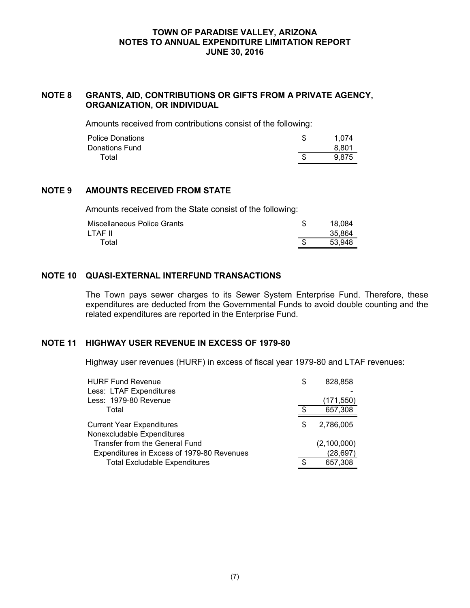## **NOTE 8 GRANTS, AID, CONTRIBUTIONS OR GIFTS FROM A PRIVATE AGENCY, ORGANIZATION, OR INDIVIDUAL**

Amounts received from contributions consist of the following:

| <b>Police Donations</b> | 1.074 |
|-------------------------|-------|
| Donations Fund          | 8.801 |
| Total                   | 9.875 |
|                         |       |

## **NOTE 9 AMOUNTS RECEIVED FROM STATE**

Amounts received from the State consist of the following:

| Miscellaneous Police Grants | 18.084 |
|-----------------------------|--------|
| LTAF II                     | 35.864 |
| Total                       | 53.948 |

## **NOTE 10 QUASI-EXTERNAL INTERFUND TRANSACTIONS**

The Town pays sewer charges to its Sewer System Enterprise Fund. Therefore, these expenditures are deducted from the Governmental Funds to avoid double counting and the related expenditures are reported in the Enterprise Fund.

## **NOTE 11 HIGHWAY USER REVENUE IN EXCESS OF 1979-80**

Highway user revenues (HURF) in excess of fiscal year 1979-80 and LTAF revenues:

| <b>HURF Fund Revenue</b>                   | S  | 828,858     |
|--------------------------------------------|----|-------------|
| Less: LTAF Expenditures                    |    |             |
| Less: 1979-80 Revenue                      |    | (171, 550)  |
| Total                                      |    | 657,308     |
| <b>Current Year Expenditures</b>           | \$ | 2,786,005   |
| Nonexcludable Expenditures                 |    |             |
| Transfer from the General Fund             |    | (2,100,000) |
| Expenditures in Excess of 1979-80 Revenues |    | (28, 697)   |
| <b>Total Excludable Expenditures</b>       |    | 657,308     |